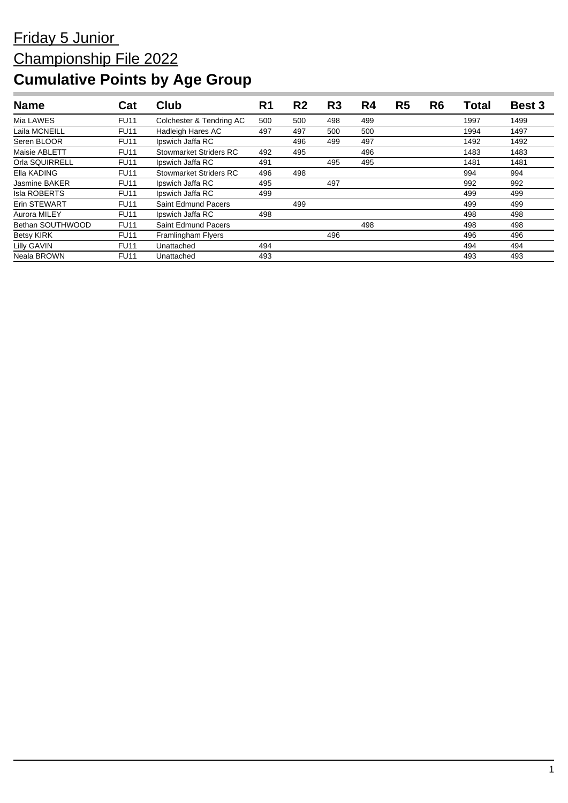| <b>Name</b>          | Cat         | Club                          | R <sub>1</sub> | R <sub>2</sub> | R <sub>3</sub> | R4  | R <sub>5</sub> | R <sub>6</sub> | Total | <b>Best 3</b> |
|----------------------|-------------|-------------------------------|----------------|----------------|----------------|-----|----------------|----------------|-------|---------------|
| Mia LAWES            | <b>FU11</b> | Colchester & Tendring AC      | 500            | 500            | 498            | 499 |                |                | 1997  | 1499          |
| Laila MCNEILL        | <b>FU11</b> | Hadleigh Hares AC             | 497            | 497            | 500            | 500 |                |                | 1994  | 1497          |
| Seren BLOOR          | <b>FU11</b> | Ipswich Jaffa RC              |                | 496            | 499            | 497 |                |                | 1492  | 1492          |
| Maisie ABLETT        | <b>FU11</b> | <b>Stowmarket Striders RC</b> | 492            | 495            |                | 496 |                |                | 1483  | 1483          |
| Orla SQUIRRELL       | <b>FU11</b> | Ipswich Jaffa RC              | 491            |                | 495            | 495 |                |                | 1481  | 1481          |
| Ella KADING          | <b>FU11</b> | <b>Stowmarket Striders RC</b> | 496            | 498            |                |     |                |                | 994   | 994           |
| <b>Jasmine BAKER</b> | <b>FU11</b> | Ipswich Jaffa RC              | 495            |                | 497            |     |                |                | 992   | 992           |
| <b>Isla ROBERTS</b>  | <b>FU11</b> | Ipswich Jaffa RC              | 499            |                |                |     |                |                | 499   | 499           |
| Erin STEWART         | <b>FU11</b> | Saint Edmund Pacers           |                | 499            |                |     |                |                | 499   | 499           |
| Aurora MILEY         | <b>FU11</b> | Ipswich Jaffa RC              | 498            |                |                |     |                |                | 498   | 498           |
| Bethan SOUTHWOOD     | <b>FU11</b> | Saint Edmund Pacers           |                |                |                | 498 |                |                | 498   | 498           |
| <b>Betsy KIRK</b>    | <b>FU11</b> | Framlingham Flyers            |                |                | 496            |     |                |                | 496   | 496           |
| <b>Lilly GAVIN</b>   | <b>FU11</b> | Unattached                    | 494            |                |                |     |                |                | 494   | 494           |
| Neala BROWN          | <b>FU11</b> | Unattached                    | 493            |                |                |     |                |                | 493   | 493           |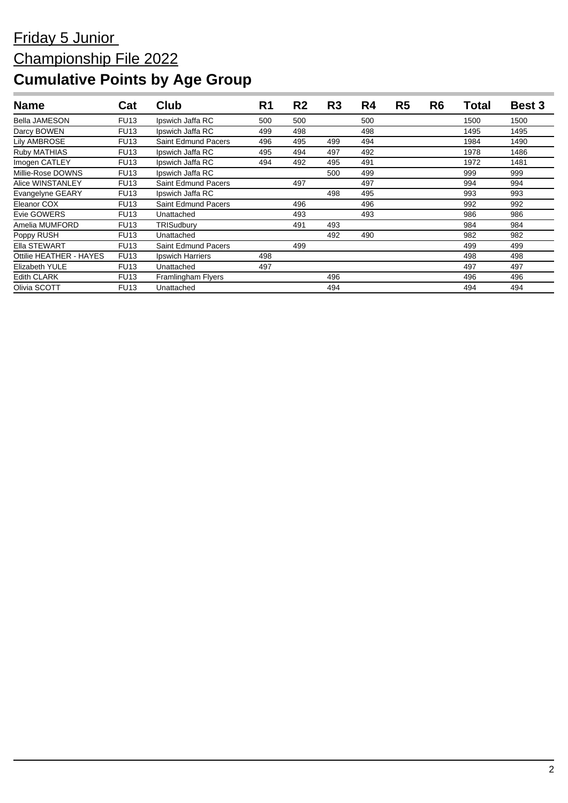| <b>Name</b>             | Cat         | Club                       | R <sub>1</sub> | R <sub>2</sub> | R <sub>3</sub> | R4  | R <sub>5</sub> | R <sub>6</sub> | <b>Total</b> | <b>Best 3</b> |
|-------------------------|-------------|----------------------------|----------------|----------------|----------------|-----|----------------|----------------|--------------|---------------|
| <b>Bella JAMESON</b>    | <b>FU13</b> | Ipswich Jaffa RC           | 500            | 500            |                | 500 |                |                | 1500         | 1500          |
| Darcy BOWEN             | <b>FU13</b> | Ipswich Jaffa RC           | 499            | 498            |                | 498 |                |                | 1495         | 1495          |
| <b>Lily AMBROSE</b>     | <b>FU13</b> | Saint Edmund Pacers        | 496            | 495            | 499            | 494 |                |                | 1984         | 1490          |
| Ruby MATHIAS            | <b>FU13</b> | Ipswich Jaffa RC           | 495            | 494            | 497            | 492 |                |                | 1978         | 1486          |
| Imogen CATLEY           | <b>FU13</b> | Ipswich Jaffa RC           | 494            | 492            | 495            | 491 |                |                | 1972         | 1481          |
| Millie-Rose DOWNS       | <b>FU13</b> | Ipswich Jaffa RC           |                |                | 500            | 499 |                |                | 999          | 999           |
| Alice WINSTANLEY        | <b>FU13</b> | <b>Saint Edmund Pacers</b> |                | 497            |                | 497 |                |                | 994          | 994           |
| Evangelyne GEARY        | <b>FU13</b> | Ipswich Jaffa RC           |                |                | 498            | 495 |                |                | 993          | 993           |
| Eleanor COX             | <b>FU13</b> | <b>Saint Edmund Pacers</b> |                | 496            |                | 496 |                |                | 992          | 992           |
| Evie GOWERS             | <b>FU13</b> | Unattached                 |                | 493            |                | 493 |                |                | 986          | 986           |
| Amelia MUMFORD          | <b>FU13</b> | TRISudbury                 |                | 491            | 493            |     |                |                | 984          | 984           |
| Poppy RUSH              | <b>FU13</b> | Unattached                 |                |                | 492            | 490 |                |                | 982          | 982           |
| Ella STEWART            | <b>FU13</b> | <b>Saint Edmund Pacers</b> |                | 499            |                |     |                |                | 499          | 499           |
| Ottilie HEATHER - HAYES | <b>FU13</b> | Ipswich Harriers           | 498            |                |                |     |                |                | 498          | 498           |
| <b>Elizabeth YULE</b>   | <b>FU13</b> | Unattached                 | 497            |                |                |     |                |                | 497          | 497           |
| <b>Edith CLARK</b>      | <b>FU13</b> | Framlingham Flyers         |                |                | 496            |     |                |                | 496          | 496           |
| Olivia SCOTT            | <b>FU13</b> | Unattached                 |                |                | 494            |     |                |                | 494          | 494           |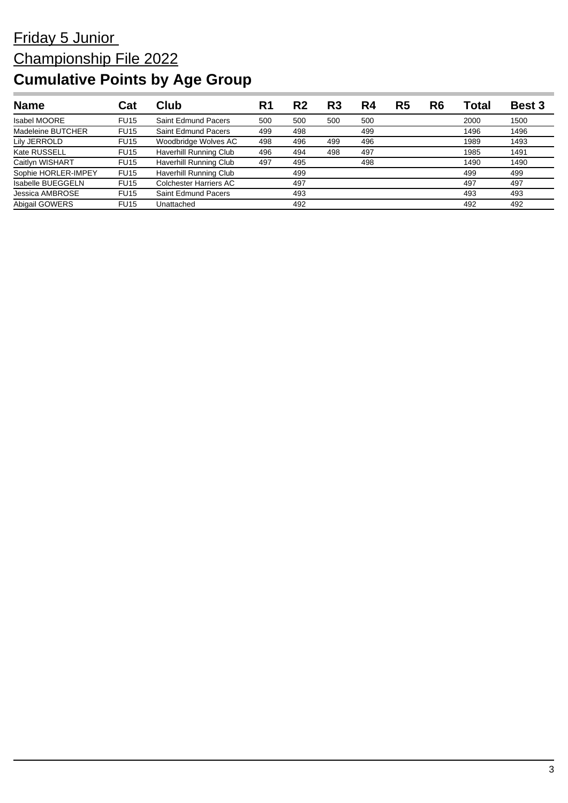| <b>Name</b>              | Cat         | Club                   | R٢  | R2  | R3  | R4  | R5 | R6 | Гоtal | <b>Best 3</b> |
|--------------------------|-------------|------------------------|-----|-----|-----|-----|----|----|-------|---------------|
| <b>Isabel MOORE</b>      | <b>FU15</b> | Saint Edmund Pacers    | 500 | 500 | 500 | 500 |    |    | 2000  | 1500          |
| Madeleine BUTCHER        | <b>FU15</b> | Saint Edmund Pacers    | 499 | 498 |     | 499 |    |    | 1496  | 1496          |
| Lily JERROLD             | <b>FU15</b> | Woodbridge Wolves AC   | 498 | 496 | 499 | 496 |    |    | 1989  | 1493          |
| Kate RUSSELL             | <b>FU15</b> | Haverhill Running Club | 496 | 494 | 498 | 497 |    |    | 1985  | 1491          |
| Caitlyn WISHART          | <b>FU15</b> | Haverhill Running Club | 497 | 495 |     | 498 |    |    | 1490  | 1490          |
| Sophie HORLER-IMPEY      | <b>FU15</b> | Haverhill Running Club |     | 499 |     |     |    |    | 499   | 499           |
| <b>Isabelle BUEGGELN</b> | <b>FU15</b> | Colchester Harriers AC |     | 497 |     |     |    |    | 497   | 497           |
| Jessica AMBROSE          | <b>FU15</b> | Saint Edmund Pacers    |     | 493 |     |     |    |    | 493   | 493           |
| Abigail GOWERS           | <b>FU15</b> | Unattached             |     | 492 |     |     |    |    | 492   | 492           |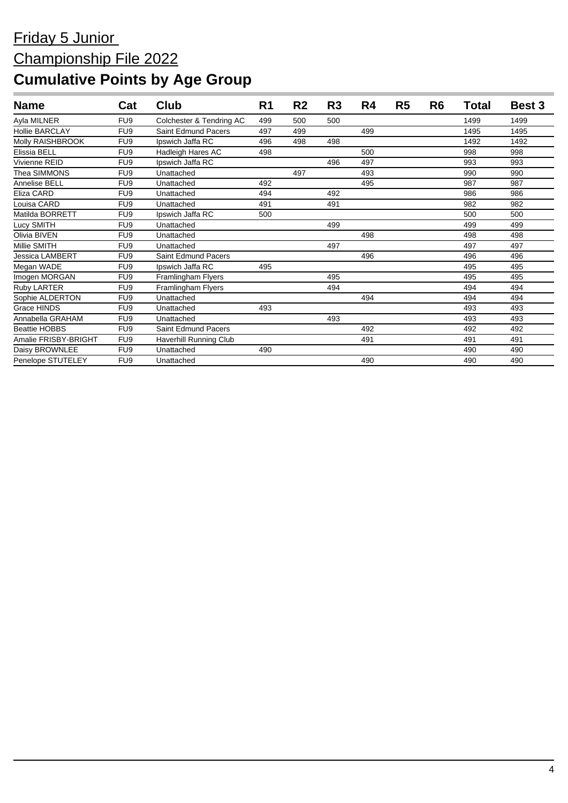| <b>Name</b>            | Cat             | Club                       | R <sub>1</sub> | R <sub>2</sub> | R <sub>3</sub> | R4  | R <sub>5</sub> | R <sub>6</sub> | Total | Best 3 |
|------------------------|-----------------|----------------------------|----------------|----------------|----------------|-----|----------------|----------------|-------|--------|
| Ayla MILNER            | FU <sub>9</sub> | Colchester & Tendring AC   | 499            | 500            | 500            |     |                |                | 1499  | 1499   |
| <b>Hollie BARCLAY</b>  | FU <sub>9</sub> | <b>Saint Edmund Pacers</b> | 497            | 499            |                | 499 |                |                | 1495  | 1495   |
| Molly RAISHBROOK       | FU <sub>9</sub> | Ipswich Jaffa RC           | 496            | 498            | 498            |     |                |                | 1492  | 1492   |
| Elissia BELL           | FU <sub>9</sub> | Hadleigh Hares AC          | 498            |                |                | 500 |                |                | 998   | 998    |
| Vivienne REID          | FU <sub>9</sub> | Ipswich Jaffa RC           |                |                | 496            | 497 |                |                | 993   | 993    |
| Thea SIMMONS           | FU <sub>9</sub> | Unattached                 |                | 497            |                | 493 |                |                | 990   | 990    |
| Annelise BELL          | FU <sub>9</sub> | Unattached                 | 492            |                |                | 495 |                |                | 987   | 987    |
| Eliza CARD             | FU <sub>9</sub> | Unattached                 | 494            |                | 492            |     |                |                | 986   | 986    |
| Louisa CARD            | FU <sub>9</sub> | Unattached                 | 491            |                | 491            |     |                |                | 982   | 982    |
| Matilda BORRETT        | FU <sub>9</sub> | Ipswich Jaffa RC           | 500            |                |                |     |                |                | 500   | 500    |
| Lucy SMITH             | FU <sub>9</sub> | Unattached                 |                |                | 499            |     |                |                | 499   | 499    |
| Olivia BIVEN           | FU <sub>9</sub> | Unattached                 |                |                |                | 498 |                |                | 498   | 498    |
| Millie SMITH           | FU <sub>9</sub> | Unattached                 |                |                | 497            |     |                |                | 497   | 497    |
| <b>Jessica LAMBERT</b> | FU <sub>9</sub> | Saint Edmund Pacers        |                |                |                | 496 |                |                | 496   | 496    |
| Megan WADE             | FU <sub>9</sub> | Ipswich Jaffa RC           | 495            |                |                |     |                |                | 495   | 495    |
| Imogen MORGAN          | FU <sub>9</sub> | Framlingham Flyers         |                |                | 495            |     |                |                | 495   | 495    |
| Ruby LARTER            | FU <sub>9</sub> | Framlingham Flyers         |                |                | 494            |     |                |                | 494   | 494    |
| Sophie ALDERTON        | FU <sub>9</sub> | Unattached                 |                |                |                | 494 |                |                | 494   | 494    |
| Grace HINDS            | FU <sub>9</sub> | Unattached                 | 493            |                |                |     |                |                | 493   | 493    |
| Annabella GRAHAM       | FU <sub>9</sub> | Unattached                 |                |                | 493            |     |                |                | 493   | 493    |
| <b>Beattie HOBBS</b>   | FU <sub>9</sub> | <b>Saint Edmund Pacers</b> |                |                |                | 492 |                |                | 492   | 492    |
| Amalie FRISBY-BRIGHT   | FU <sub>9</sub> | Haverhill Running Club     |                |                |                | 491 |                |                | 491   | 491    |
| Daisy BROWNLEE         | FU <sub>9</sub> | Unattached                 | 490            |                |                |     |                |                | 490   | 490    |
| Penelope STUTELEY      | FU <sub>9</sub> | Unattached                 |                |                |                | 490 |                |                | 490   | 490    |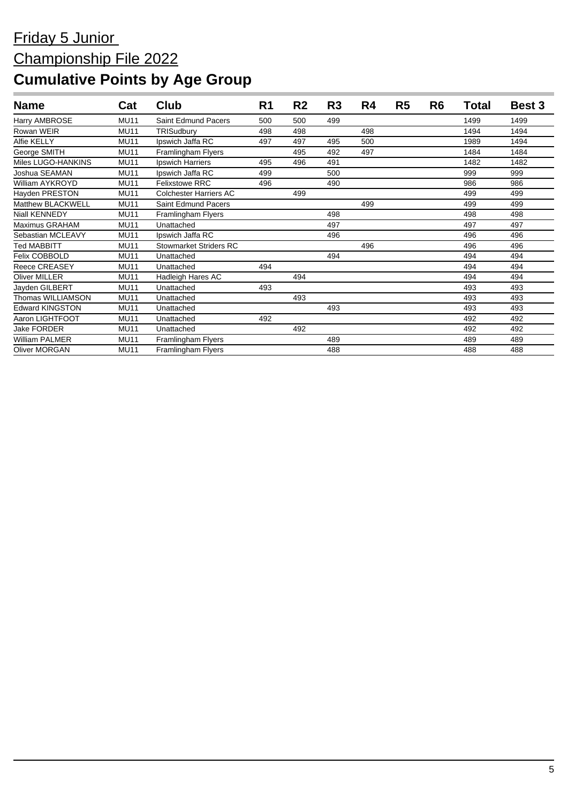| <b>Name</b>            | Cat         | Club                          | R <sub>1</sub> | R <sub>2</sub> | R <sub>3</sub> | R4  | R <sub>5</sub> | R <sub>6</sub> | Total | <b>Best 3</b> |
|------------------------|-------------|-------------------------------|----------------|----------------|----------------|-----|----------------|----------------|-------|---------------|
| Harry AMBROSE          | <b>MU11</b> | Saint Edmund Pacers           | 500            | 500            | 499            |     |                |                | 1499  | 1499          |
| Rowan WEIR             | <b>MU11</b> | TRISudbury                    | 498            | 498            |                | 498 |                |                | 1494  | 1494          |
| Alfie KELLY            | <b>MU11</b> | Ipswich Jaffa RC              | 497            | 497            | 495            | 500 |                |                | 1989  | 1494          |
| George SMITH           | <b>MU11</b> | Framlingham Flyers            |                | 495            | 492            | 497 |                |                | 1484  | 1484          |
| Miles LUGO-HANKINS     | <b>MU11</b> | Ipswich Harriers              | 495            | 496            | 491            |     |                |                | 1482  | 1482          |
| Joshua SEAMAN          | <b>MU11</b> | Ipswich Jaffa RC              | 499            |                | 500            |     |                |                | 999   | 999           |
| William AYKROYD        | <b>MU11</b> | <b>Felixstowe RRC</b>         | 496            |                | 490            |     |                |                | 986   | 986           |
| Hayden PRESTON         | <b>MU11</b> | <b>Colchester Harriers AC</b> |                | 499            |                |     |                |                | 499   | 499           |
| Matthew BLACKWELL      | <b>MU11</b> | Saint Edmund Pacers           |                |                |                | 499 |                |                | 499   | 499           |
| Niall KENNEDY          | <b>MU11</b> | Framlingham Flyers            |                |                | 498            |     |                |                | 498   | 498           |
| Maximus GRAHAM         | <b>MU11</b> | Unattached                    |                |                | 497            |     |                |                | 497   | 497           |
| Sebastian MCLEAVY      | <b>MU11</b> | Ipswich Jaffa RC              |                |                | 496            |     |                |                | 496   | 496           |
| Ted MABBITT            | <b>MU11</b> | <b>Stowmarket Striders RC</b> |                |                |                | 496 |                |                | 496   | 496           |
| Felix COBBOLD          | <b>MU11</b> | Unattached                    |                |                | 494            |     |                |                | 494   | 494           |
| <b>Reece CREASEY</b>   | <b>MU11</b> | Unattached                    | 494            |                |                |     |                |                | 494   | 494           |
| <b>Oliver MILLER</b>   | <b>MU11</b> | Hadleigh Hares AC             |                | 494            |                |     |                |                | 494   | 494           |
| Jayden GILBERT         | <b>MU11</b> | Unattached                    | 493            |                |                |     |                |                | 493   | 493           |
| Thomas WILLIAMSON      | <b>MU11</b> | Unattached                    |                | 493            |                |     |                |                | 493   | 493           |
| <b>Edward KINGSTON</b> | <b>MU11</b> | Unattached                    |                |                | 493            |     |                |                | 493   | 493           |
| Aaron LIGHTFOOT        | <b>MU11</b> | Unattached                    | 492            |                |                |     |                |                | 492   | 492           |
| <b>Jake FORDER</b>     | <b>MU11</b> | Unattached                    |                | 492            |                |     |                |                | 492   | 492           |
| William PALMER         | <b>MU11</b> | Framlingham Flyers            |                |                | 489            |     |                |                | 489   | 489           |
| <b>Oliver MORGAN</b>   | <b>MU11</b> | Framlingham Flyers            |                |                | 488            |     |                |                | 488   | 488           |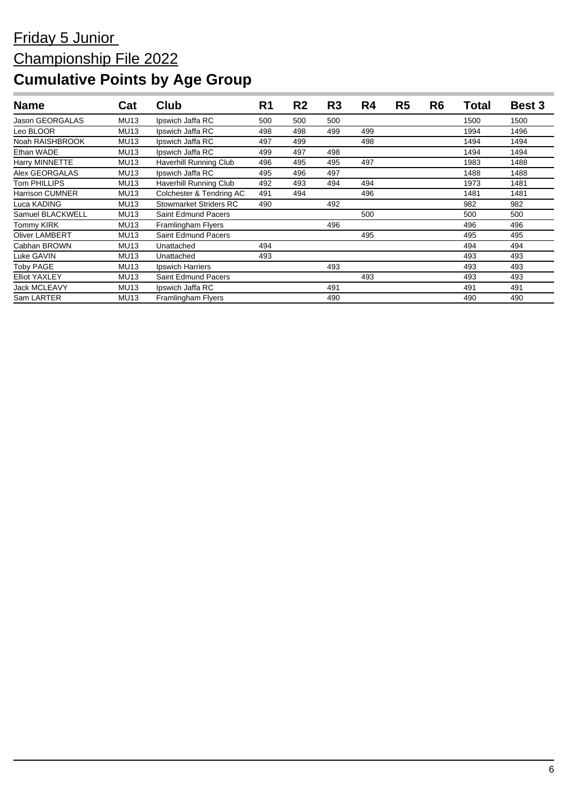| <b>Name</b>            | Cat         | Club                          | R <sub>1</sub> | R <sub>2</sub> | R <sub>3</sub> | R4  | R <sub>5</sub> | R <sub>6</sub> | <b>Total</b> | <b>Best 3</b> |
|------------------------|-------------|-------------------------------|----------------|----------------|----------------|-----|----------------|----------------|--------------|---------------|
| <b>Jason GEORGALAS</b> | <b>MU13</b> | Ipswich Jaffa RC              | 500            | 500            | 500            |     |                |                | 1500         | 1500          |
| Leo BLOOR              | <b>MU13</b> | Ipswich Jaffa RC              | 498            | 498            | 499            | 499 |                |                | 1994         | 1496          |
| Noah RAISHBROOK        | <b>MU13</b> | Ipswich Jaffa RC              | 497            | 499            |                | 498 |                |                | 1494         | 1494          |
| Ethan WADE             | <b>MU13</b> | Ipswich Jaffa RC              | 499            | 497            | 498            |     |                |                | 1494         | 1494          |
| Harry MINNETTE         | <b>MU13</b> | Haverhill Running Club        | 496            | 495            | 495            | 497 |                |                | 1983         | 1488          |
| Alex GEORGALAS         | <b>MU13</b> | Ipswich Jaffa RC              | 495            | 496            | 497            |     |                |                | 1488         | 1488          |
| Tom PHILLIPS           | <b>MU13</b> | <b>Haverhill Running Club</b> | 492            | 493            | 494            | 494 |                |                | 1973         | 1481          |
| <b>Harrison CUMNER</b> | <b>MU13</b> | Colchester & Tendring AC      | 491            | 494            |                | 496 |                |                | 1481         | 1481          |
| Luca KADING            | <b>MU13</b> | <b>Stowmarket Striders RC</b> | 490            |                | 492            |     |                |                | 982          | 982           |
| Samuel BLACKWELL       | <b>MU13</b> | <b>Saint Edmund Pacers</b>    |                |                |                | 500 |                |                | 500          | 500           |
| Tommy KIRK             | <b>MU13</b> | Framlingham Flyers            |                |                | 496            |     |                |                | 496          | 496           |
| <b>Oliver LAMBERT</b>  | <b>MU13</b> | <b>Saint Edmund Pacers</b>    |                |                |                | 495 |                |                | 495          | 495           |
| Cabhan BROWN           | <b>MU13</b> | Unattached                    | 494            |                |                |     |                |                | 494          | 494           |
| Luke GAVIN             | <b>MU13</b> | Unattached                    | 493            |                |                |     |                |                | 493          | 493           |
| Toby PAGE              | <b>MU13</b> | Ipswich Harriers              |                |                | 493            |     |                |                | 493          | 493           |
| <b>Elliot YAXLEY</b>   | <b>MU13</b> | Saint Edmund Pacers           |                |                |                | 493 |                |                | 493          | 493           |
| <b>Jack MCLEAVY</b>    | <b>MU13</b> | Ipswich Jaffa RC              |                |                | 491            |     |                |                | 491          | 491           |
| Sam LARTER             | <b>MU13</b> | Framlingham Flyers            |                |                | 490            |     |                |                | 490          | 490           |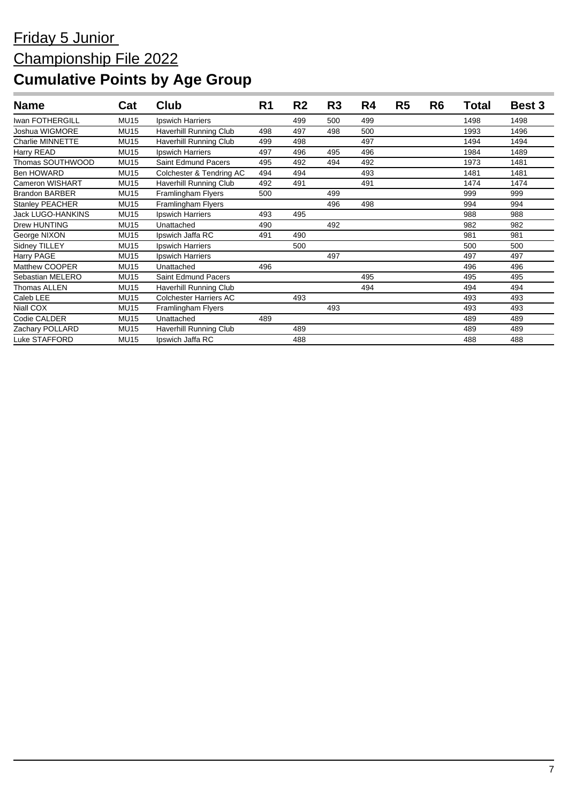| <b>Name</b>            | Cat         | <b>Club</b>                   | R <sub>1</sub> | R <sub>2</sub> | R <sub>3</sub> | R4  | R <sub>5</sub> | R <sub>6</sub> | Total | <b>Best 3</b> |
|------------------------|-------------|-------------------------------|----------------|----------------|----------------|-----|----------------|----------------|-------|---------------|
| Iwan FOTHERGILL        | <b>MU15</b> | Ipswich Harriers              |                | 499            | 500            | 499 |                |                | 1498  | 1498          |
| Joshua WIGMORE         | <b>MU15</b> | Haverhill Running Club        | 498            | 497            | 498            | 500 |                |                | 1993  | 1496          |
| Charlie MINNETTE       | <b>MU15</b> | Haverhill Running Club        | 499            | 498            |                | 497 |                |                | 1494  | 1494          |
| Harry READ             | <b>MU15</b> | Ipswich Harriers              | 497            | 496            | 495            | 496 |                |                | 1984  | 1489          |
| Thomas SOUTHWOOD       | <b>MU15</b> | Saint Edmund Pacers           | 495            | 492            | 494            | 492 |                |                | 1973  | 1481          |
| <b>Ben HOWARD</b>      | <b>MU15</b> | Colchester & Tendring AC      | 494            | 494            |                | 493 |                |                | 1481  | 1481          |
| <b>Cameron WISHART</b> | <b>MU15</b> | Haverhill Running Club        | 492            | 491            |                | 491 |                |                | 1474  | 1474          |
| <b>Brandon BARBER</b>  | <b>MU15</b> | Framlingham Flyers            | 500            |                | 499            |     |                |                | 999   | 999           |
| <b>Stanley PEACHER</b> | <b>MU15</b> | Framlingham Flyers            |                |                | 496            | 498 |                |                | 994   | 994           |
| Jack LUGO-HANKINS      | <b>MU15</b> | Ipswich Harriers              | 493            | 495            |                |     |                |                | 988   | 988           |
| <b>Drew HUNTING</b>    | <b>MU15</b> | Unattached                    | 490            |                | 492            |     |                |                | 982   | 982           |
| George NIXON           | <b>MU15</b> | Ipswich Jaffa RC              | 491            | 490            |                |     |                |                | 981   | 981           |
| Sidney TILLEY          | <b>MU15</b> | Ipswich Harriers              |                | 500            |                |     |                |                | 500   | 500           |
| Harry PAGE             | <b>MU15</b> | Ipswich Harriers              |                |                | 497            |     |                |                | 497   | 497           |
| Matthew COOPER         | <b>MU15</b> | Unattached                    | 496            |                |                |     |                |                | 496   | 496           |
| Sebastian MELERO       | <b>MU15</b> | <b>Saint Edmund Pacers</b>    |                |                |                | 495 |                |                | 495   | 495           |
| Thomas ALLEN           | <b>MU15</b> | Haverhill Running Club        |                |                |                | 494 |                |                | 494   | 494           |
| Caleb LEE              | <b>MU15</b> | <b>Colchester Harriers AC</b> |                | 493            |                |     |                |                | 493   | 493           |
| Niall COX              | <b>MU15</b> | Framlingham Flyers            |                |                | 493            |     |                |                | 493   | 493           |
| Codie CALDER           | <b>MU15</b> | Unattached                    | 489            |                |                |     |                |                | 489   | 489           |
| Zachary POLLARD        | <b>MU15</b> | Haverhill Running Club        |                | 489            |                |     |                |                | 489   | 489           |
| Luke STAFFORD          | <b>MU15</b> | Ipswich Jaffa RC              |                | 488            |                |     |                |                | 488   | 488           |